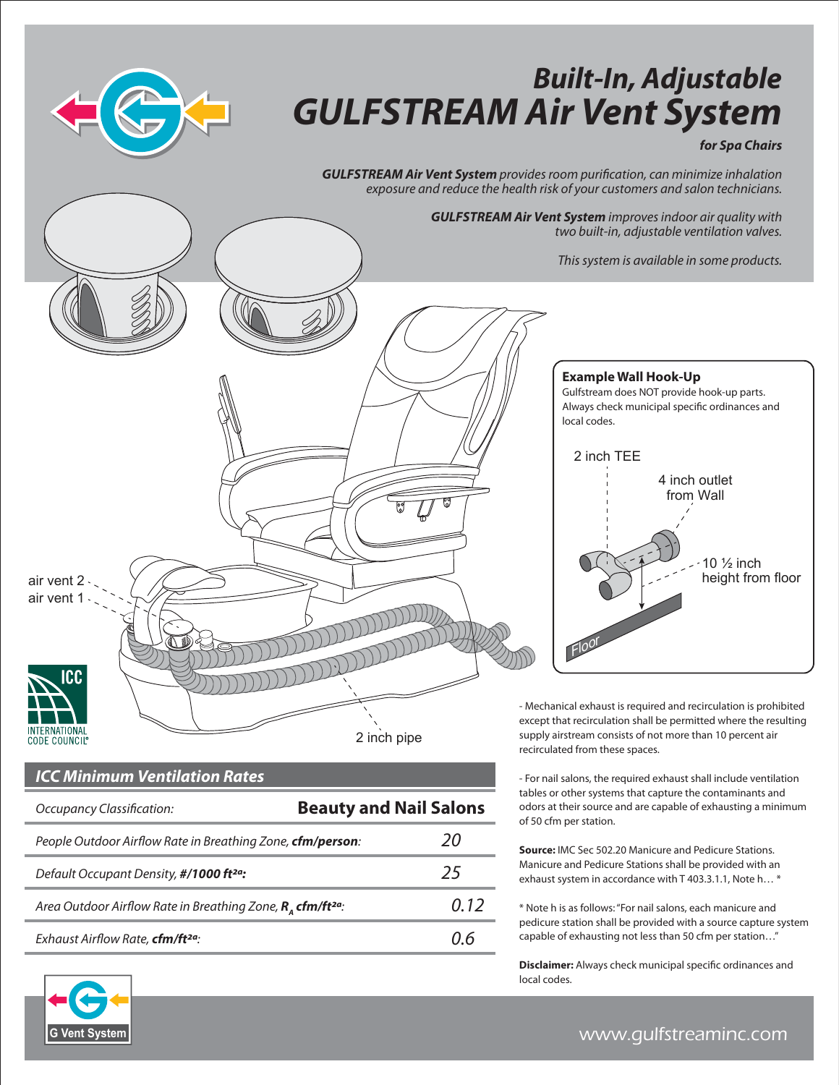

## *Built-In, Adjustable GULFSTREAM Air Vent System*

## *for Spa Chairs*

*GULFSTREAM Air Vent System provides room purication, can minimize inhalation exposure and reduce the health risk of your customers and salon technicians.*

> *GULFSTREAM Air Vent System improves indoor air quality with two built-in, adjustable ventilation valves.*

> > **Example Wall Hook-Up**

*This system is available in some products.*



COUNCIL

## *ICC Minimum Ventilation Rates*

| Occupancy Classification:                                                        | <b>Beauty and Nail Salons</b> |      |
|----------------------------------------------------------------------------------|-------------------------------|------|
| People Outdoor Airflow Rate in Breathing Zone, cfm/person:                       |                               | 20   |
| Default Occupant Density, #/1000 ft <sup>2a</sup> :                              |                               | 25   |
| Area Outdoor Airflow Rate in Breathing Zone, $R_{\alpha}$ cfm/ft <sup>2a</sup> : |                               | 0.12 |
| Exhaust Airflow Rate, cfm/ft <sup>2a</sup> :                                     |                               | 11 h |



- Mechanical exhaust is required and recirculation is prohibited except that recirculation shall be permitted where the resulting supply airstream consists of not more than 10 percent air recirculated from these spaces.

- For nail salons, the required exhaust shall include ventilation tables or other systems that capture the contaminants and odors at their source and are capable of exhausting a minimum of 50 cfm per station.

**Source:** IMC Sec 502.20 Manicure and Pedicure Stations. Manicure and Pedicure Stations shall be provided with an exhaust system in accordance with T 403.3.1.1, Note h… \*

\* Note h is as follows: "For nail salons, each manicure and pedicure station shall be provided with a source capture system capable of exhausting not less than 50 cfm per station…"

**Disclaimer:** Always check municipal specific ordinances and local codes.



www.gulfstreaminc.com